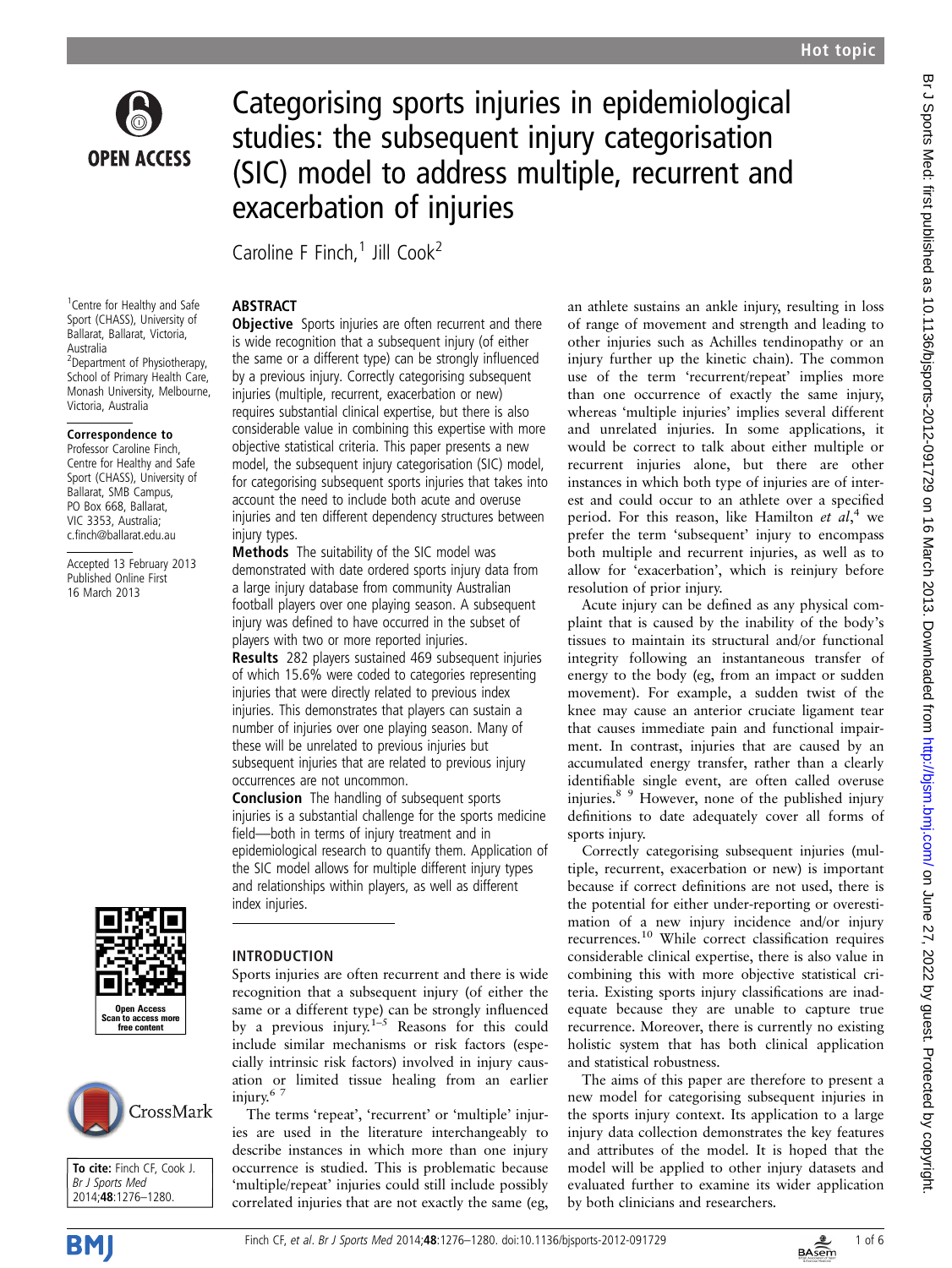

# Categorising sports injuries in epidemiological studies: the subsequent injury categorisation (SIC) model to address multiple, recurrent and exacerbation of injuries

Caroline F Finch, $<sup>1</sup>$  Jill Cook<sup>2</sup></sup>

is wide recognition that a subsequent injury (of either the same or a different type) can be strongly influenced by a previous injury. Correctly categorising subsequent injuries (multiple, recurrent, exacerbation or new) requires substantial clinical expertise, but there is also considerable value in combining this expertise with more objective statistical criteria. This paper presents a new model, the subsequent injury categorisation (SIC) model, for categorising subsequent sports injuries that takes into account the need to include both acute and overuse injuries and ten different dependency structures between

Methods The suitability of the SIC model was demonstrated with date ordered sports injury data from a large injury database from community Australian football players over one playing season. A subsequent injury was defined to have occurred in the subset of

players with two or more reported injuries.

occurrences are not uncommon.

Results 282 players sustained 469 subsequent injuries of which 15.6% were coded to categories representing injuries that were directly related to previous index injuries. This demonstrates that players can sustain a number of injuries over one playing season. Many of these will be unrelated to previous injuries but subsequent injuries that are related to previous injury

Conclusion The handling of subsequent sports injuries is a substantial challenge for the sports medicine field—both in terms of injury treatment and in

epidemiological research to quantify them. Application of the SIC model allows for multiple different injury types and relationships within players, as well as different

#### ABSTRACT **Objective** Sports injuries are often recurrent and there

injury types.

<sup>1</sup> Centre for Healthy and Safe Sport (CHASS), University of Ballarat, Ballarat, Victoria, Australia 2 Department of Physiotherapy, School of Primary Health Care, Monash University, Melbourne, Victoria, Australia

#### Correspondence to

Professor Caroline Finch, Centre for Healthy and Safe Sport (CHASS), University of Ballarat, SMB Campus, PO Box 668, Ballarat, VIC 3353, Australia; c.finch@ballarat.edu.au

Accepted 13 February 2013 Published Online First 16 March 2013



To cite: Finch CF, Cook J. Br J Sports Med 2014;48:1276–1280.

CrossMark

# INTRODUCTION

index injuries.

Sports injuries are often recurrent and there is wide recognition that a subsequent injury (of either the same or a different type) can be strongly influenced by a previous injury.<sup>1–5</sup> Reasons for this could include similar mechanisms or risk factors (especially intrinsic risk factors) involved in injury causation or limited tissue healing from an earlier injury.<sup>6</sup>

The terms 'repeat', 'recurrent' or 'multiple' injuries are used in the literature interchangeably to describe instances in which more than one injury occurrence is studied. This is problematic because 'multiple/repeat' injuries could still include possibly correlated injuries that are not exactly the same (eg,

an athlete sustains an ankle injury, resulting in loss of range of movement and strength and leading to other injuries such as Achilles tendinopathy or an injury further up the kinetic chain). The common use of the term 'recurrent/repeat' implies more than one occurrence of exactly the same injury, whereas 'multiple injuries' implies several different and unrelated injuries. In some applications, it would be correct to talk about either multiple or recurrent injuries alone, but there are other instances in which both type of injuries are of interest and could occur to an athlete over a specified period. For this reason, like Hamilton et  $al$ ,<sup>4</sup> we prefer the term 'subsequent' injury to encompass both multiple and recurrent injuries, as well as to allow for 'exacerbation', which is reinjury before resolution of prior injury.

Acute injury can be defined as any physical complaint that is caused by the inability of the body's tissues to maintain its structural and/or functional integrity following an instantaneous transfer of energy to the body (eg, from an impact or sudden movement). For example, a sudden twist of the knee may cause an anterior cruciate ligament tear that causes immediate pain and functional impairment. In contrast, injuries that are caused by an accumulated energy transfer, rather than a clearly identifiable single event, are often called overuse injuries.8 9 However, none of the published injury definitions to date adequately cover all forms of sports injury.

Correctly categorising subsequent injuries (multiple, recurrent, exacerbation or new) is important because if correct definitions are not used, there is the potential for either under-reporting or overestimation of a new injury incidence and/or injury recurrences.<sup>10</sup> While correct classification requires considerable clinical expertise, there is also value in combining this with more objective statistical criteria. Existing sports injury classifications are inadequate because they are unable to capture true recurrence. Moreover, there is currently no existing holistic system that has both clinical application and statistical robustness.

The aims of this paper are therefore to present a new model for categorising subsequent injuries in the sports injury context. Its application to a large injury data collection demonstrates the key features and attributes of the model. It is hoped that the model will be applied to other injury datasets and evaluated further to examine its wider application by both clinicians and researchers.



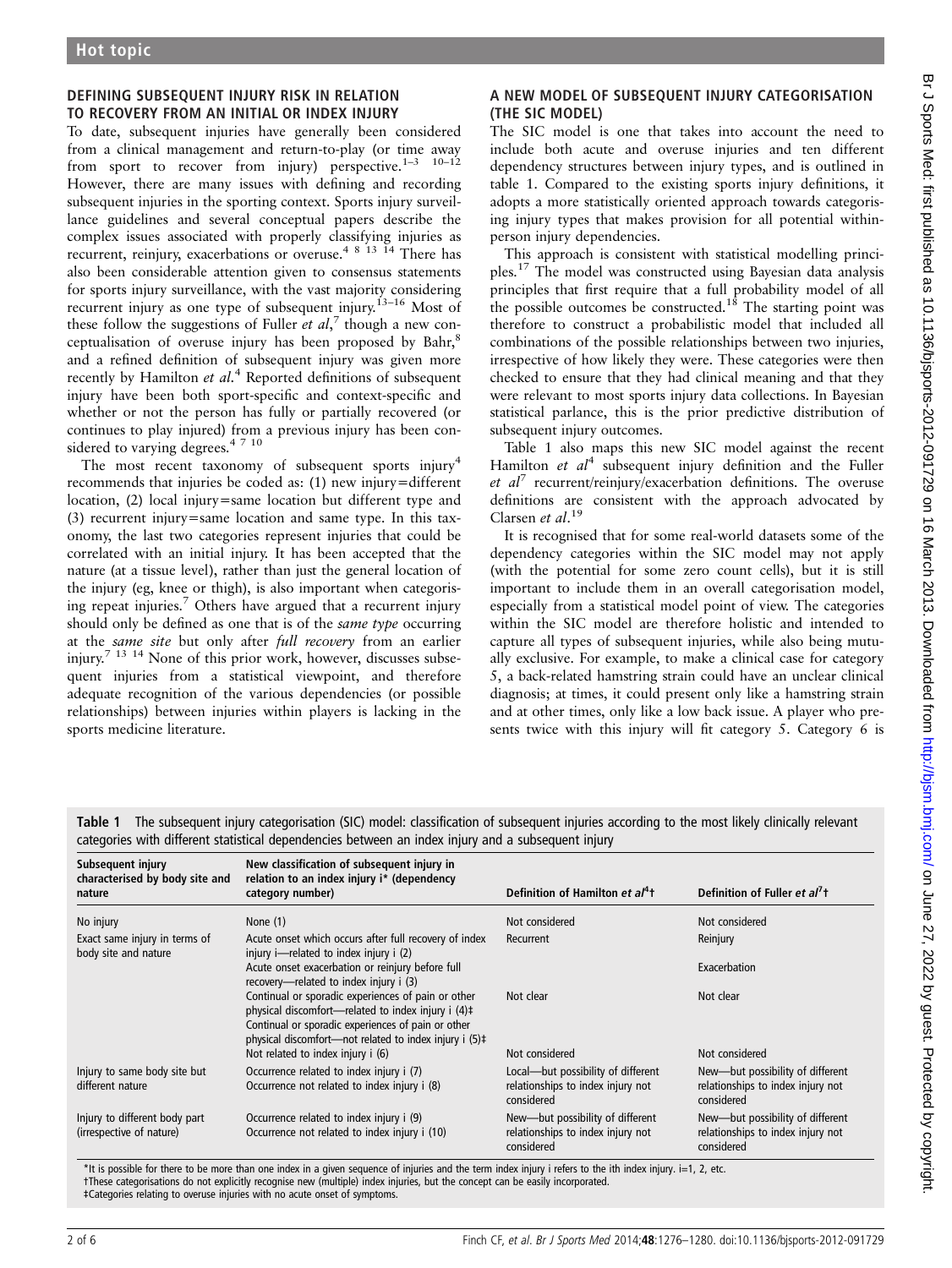#### DEFINING SUBSEQUENT INJURY RISK IN RELATION TO RECOVERY FROM AN INITIAL OR INDEX INJURY

To date, subsequent injuries have generally been considered from a clinical management and return-to-play (or time away from sport to recover from injury) perspective.<sup>1-3</sup> <sup>10-12</sup> However, there are many issues with defining and recording subsequent injuries in the sporting context. Sports injury surveillance guidelines and several conceptual papers describe the complex issues associated with properly classifying injuries as recurrent, reinjury, exacerbations or overuse.4 8 13 14 There has also been considerable attention given to consensus statements for sports injury surveillance, with the vast majority considering recurrent injury as one type of subsequent injury.<sup>13-16</sup> Most of these follow the suggestions of Fuller et  $al$ ,<sup>7</sup> though a new conceptualisation of overuse injury has been proposed by Bahr,<sup>8</sup> and a refined definition of subsequent injury was given more recently by Hamilton et al.<sup>4</sup> Reported definitions of subsequent injury have been both sport-specific and context-specific and whether or not the person has fully or partially recovered (or continues to play injured) from a previous injury has been considered to varying degrees.<sup>4710</sup>

The most recent taxonomy of subsequent sports injury<sup>4</sup> recommends that injuries be coded as: (1) new injury=different location, (2) local injury=same location but different type and (3) recurrent injury=same location and same type. In this taxonomy, the last two categories represent injuries that could be correlated with an initial injury. It has been accepted that the nature (at a tissue level), rather than just the general location of the injury (eg, knee or thigh), is also important when categorising repeat injuries.<sup>7</sup> Others have argued that a recurrent injury should only be defined as one that is of the *same type* occurring at the same site but only after full recovery from an earlier injury.7 13 14 None of this prior work, however, discusses subsequent injuries from a statistical viewpoint, and therefore adequate recognition of the various dependencies (or possible relationships) between injuries within players is lacking in the sports medicine literature.

# A NEW MODEL OF SUBSEQUENT INJURY CATEGORISATION (THE SIC MODEL)

The SIC model is one that takes into account the need to include both acute and overuse injuries and ten different dependency structures between injury types, and is outlined in table 1. Compared to the existing sports injury definitions, it adopts a more statistically oriented approach towards categorising injury types that makes provision for all potential withinperson injury dependencies.

This approach is consistent with statistical modelling principles.<sup>17</sup> The model was constructed using Bayesian data analysis principles that first require that a full probability model of all the possible outcomes be constructed.<sup>18</sup> The starting point was therefore to construct a probabilistic model that included all combinations of the possible relationships between two injuries, irrespective of how likely they were. These categories were then checked to ensure that they had clinical meaning and that they were relevant to most sports injury data collections. In Bayesian statistical parlance, this is the prior predictive distribution of subsequent injury outcomes.

Table 1 also maps this new SIC model against the recent Hamilton et  $al<sup>4</sup>$  subsequent injury definition and the Fuller et  $al^7$  recurrent/reinjury/exacerbation definitions. The overuse definitions are consistent with the approach advocated by Clarsen et al.<sup>19</sup>

It is recognised that for some real-world datasets some of the dependency categories within the SIC model may not apply (with the potential for some zero count cells), but it is still important to include them in an overall categorisation model, especially from a statistical model point of view. The categories within the SIC model are therefore holistic and intended to capture all types of subsequent injuries, while also being mutually exclusive. For example, to make a clinical case for category 5, a back-related hamstring strain could have an unclear clinical diagnosis; at times, it could present only like a hamstring strain and at other times, only like a low back issue. A player who presents twice with this injury will fit category 5. Category 6 is

Table 1 The subsequent injury categorisation (SIC) model: classification of subsequent injuries according to the most likely clinically relevant categories with different statistical dependencies between an index injury and a subsequent injury

| Subsequent injury<br>characterised by body site and<br>nature | New classification of subsequent injury in<br>relation to an index injury i* (dependency<br>category number)                                                                                                                | Definition of Hamilton et al <sup>4</sup> t                                           | Definition of Fuller et al <sup>7</sup> t                                           |
|---------------------------------------------------------------|-----------------------------------------------------------------------------------------------------------------------------------------------------------------------------------------------------------------------------|---------------------------------------------------------------------------------------|-------------------------------------------------------------------------------------|
| No injury                                                     | None (1)                                                                                                                                                                                                                    | Not considered                                                                        | Not considered                                                                      |
| Exact same injury in terms of<br>body site and nature         | Acute onset which occurs after full recovery of index<br>injury i—related to index injury $i(2)$                                                                                                                            | Recurrent                                                                             | Reinjury                                                                            |
|                                                               | Acute onset exacerbation or reinjury before full<br>recovery—related to index injury i (3)                                                                                                                                  |                                                                                       | Exacerbation                                                                        |
|                                                               | Continual or sporadic experiences of pain or other<br>physical discomfort—related to index injury i $(4)$ #<br>Continual or sporadic experiences of pain or other<br>physical discomfort—not related to index injury i (5)‡ | Not clear                                                                             | Not clear                                                                           |
|                                                               | Not related to index injury i (6)                                                                                                                                                                                           | Not considered                                                                        | Not considered                                                                      |
| Injury to same body site but<br>different nature              | Occurrence related to index injury i (7)<br>Occurrence not related to index injury i (8)                                                                                                                                    | Local-but possibility of different<br>relationships to index injury not<br>considered | New—but possibility of different<br>relationships to index injury not<br>considered |
| Injury to different body part<br>(irrespective of nature)     | Occurrence related to index injury i (9)<br>Occurrence not related to index injury i (10)                                                                                                                                   | New-but possibility of different<br>relationships to index injury not<br>considered   | New-but possibility of different<br>relationships to index injury not<br>considered |

\*It is possible for there to be more than one index in a given sequence of injuries and the term index injury i refers to the ith index injury. i=1, 2, etc. †These categorisations do not explicitly recognise new (multiple) index injuries, but the concept can be easily incorporated. ‡Categories relating to overuse injuries with no acute onset of symptoms.

# 2 of 6 Finch CF, et al. Br J Sports Med 2014;48:1276–1280. doi:10.1136/bjsports-2012-091729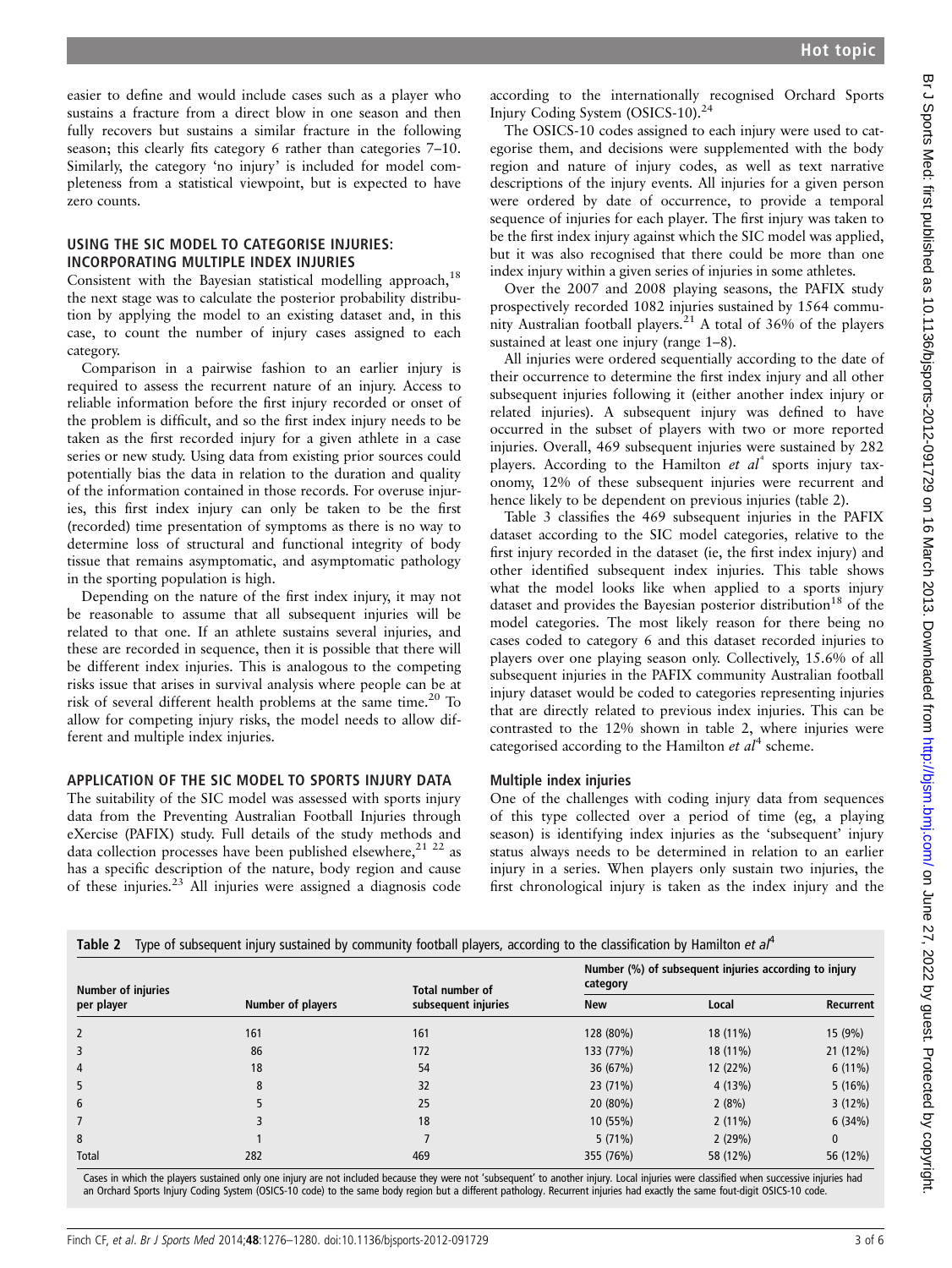easier to define and would include cases such as a player who sustains a fracture from a direct blow in one season and then fully recovers but sustains a similar fracture in the following season; this clearly fits category 6 rather than categories 7–10. Similarly, the category 'no injury' is included for model completeness from a statistical viewpoint, but is expected to have zero counts.

#### USING THE SIC MODEL TO CATEGORISE INJURIES: INCORPORATING MULTIPLE INDEX INJURIES

Consistent with the Bayesian statistical modelling approach, $18$ the next stage was to calculate the posterior probability distribution by applying the model to an existing dataset and, in this case, to count the number of injury cases assigned to each category.

Comparison in a pairwise fashion to an earlier injury is required to assess the recurrent nature of an injury. Access to reliable information before the first injury recorded or onset of the problem is difficult, and so the first index injury needs to be taken as the first recorded injury for a given athlete in a case series or new study. Using data from existing prior sources could potentially bias the data in relation to the duration and quality of the information contained in those records. For overuse injuries, this first index injury can only be taken to be the first (recorded) time presentation of symptoms as there is no way to determine loss of structural and functional integrity of body tissue that remains asymptomatic, and asymptomatic pathology in the sporting population is high.

Depending on the nature of the first index injury, it may not be reasonable to assume that all subsequent injuries will be related to that one. If an athlete sustains several injuries, and these are recorded in sequence, then it is possible that there will be different index injuries. This is analogous to the competing risks issue that arises in survival analysis where people can be at risk of several different health problems at the same time.<sup>20</sup> To allow for competing injury risks, the model needs to allow different and multiple index injuries.

#### APPLICATION OF THE SIC MODEL TO SPORTS INJURY DATA

The suitability of the SIC model was assessed with sports injury data from the Preventing Australian Football Injuries through eXercise (PAFIX) study. Full details of the study methods and data collection processes have been published elsewhere,<sup>21 22</sup> as has a specific description of the nature, body region and cause of these injuries.<sup>23</sup> All injuries were assigned a diagnosis code

according to the internationally recognised Orchard Sports Injury Coding System (OSICS-10).<sup>24</sup>

The OSICS-10 codes assigned to each injury were used to categorise them, and decisions were supplemented with the body region and nature of injury codes, as well as text narrative descriptions of the injury events. All injuries for a given person were ordered by date of occurrence, to provide a temporal sequence of injuries for each player. The first injury was taken to be the first index injury against which the SIC model was applied, but it was also recognised that there could be more than one index injury within a given series of injuries in some athletes.

Over the 2007 and 2008 playing seasons, the PAFIX study prospectively recorded 1082 injuries sustained by 1564 community Australian football players.<sup>21</sup> A total of 36% of the players sustained at least one injury (range 1–8).

All injuries were ordered sequentially according to the date of their occurrence to determine the first index injury and all other subsequent injuries following it (either another index injury or related injuries). A subsequent injury was defined to have occurred in the subset of players with two or more reported injuries. Overall, 469 subsequent injuries were sustained by 282 players. According to the Hamilton et al<sup>4</sup> sports injury taxonomy, 12% of these subsequent injuries were recurrent and hence likely to be dependent on previous injuries (table 2).

Table 3 classifies the 469 subsequent injuries in the PAFIX dataset according to the SIC model categories, relative to the first injury recorded in the dataset (ie, the first index injury) and other identified subsequent index injuries. This table shows what the model looks like when applied to a sports injury dataset and provides the Bayesian posterior distribution<sup>18</sup> of the model categories. The most likely reason for there being no cases coded to category 6 and this dataset recorded injuries to players over one playing season only. Collectively, 15.6% of all subsequent injuries in the PAFIX community Australian football injury dataset would be coded to categories representing injuries that are directly related to previous index injuries. This can be contrasted to the 12% shown in table 2, where injuries were categorised according to the Hamilton et  $al<sup>4</sup>$  scheme.

## Multiple index injuries

One of the challenges with coding injury data from sequences of this type collected over a period of time (eg, a playing season) is identifying index injuries as the 'subsequent' injury status always needs to be determined in relation to an earlier injury in a series. When players only sustain two injuries, the first chronological injury is taken as the index injury and the

|  |  |  |  | Table 2 Type of subsequent injury sustained by community football players, according to the classification by Hamilton et $aI^4$ |
|--|--|--|--|----------------------------------------------------------------------------------------------------------------------------------|
|--|--|--|--|----------------------------------------------------------------------------------------------------------------------------------|

| Number of injuries<br>per player |                   | <b>Total number of</b> | Number (%) of subsequent injuries according to injury<br>category |           |           |  |
|----------------------------------|-------------------|------------------------|-------------------------------------------------------------------|-----------|-----------|--|
|                                  | Number of players | subsequent injuries    | <b>New</b>                                                        | Local     | Recurrent |  |
| $\overline{2}$                   | 161               | 161                    | 128 (80%)                                                         | 18 (11%)  | 15 (9%)   |  |
| 3                                | 86                | 172                    | 133 (77%)                                                         | 18 (11%)  | 21 (12%)  |  |
| $\overline{4}$                   | 18                | 54                     | 36 (67%)                                                          | 12 (22%)  | $6(11\%)$ |  |
| 5                                | 8                 | 32                     | 23 (71%)                                                          | 4(13%)    | 5(16%)    |  |
| 6                                |                   | 25                     | 20 (80%)                                                          | 2(8%)     | 3(12%)    |  |
|                                  |                   | 18                     | 10(55%)                                                           | $2(11\%)$ | 6(34%)    |  |
| 8                                |                   |                        | 5(71%)                                                            | 2(29%)    |           |  |
| Total                            | 282               | 469                    | 355 (76%)                                                         | 58 (12%)  | 56 (12%)  |  |

Cases in which the players sustained only one injury are not included because they were not 'subsequent' to another injury. Local injuries were classified when successive injuries had an Orchard Sports Injury Coding System (OSICS-10 code) to the same body region but a different pathology. Recurrent injuries had exactly the same fout-digit OSICS-10 code.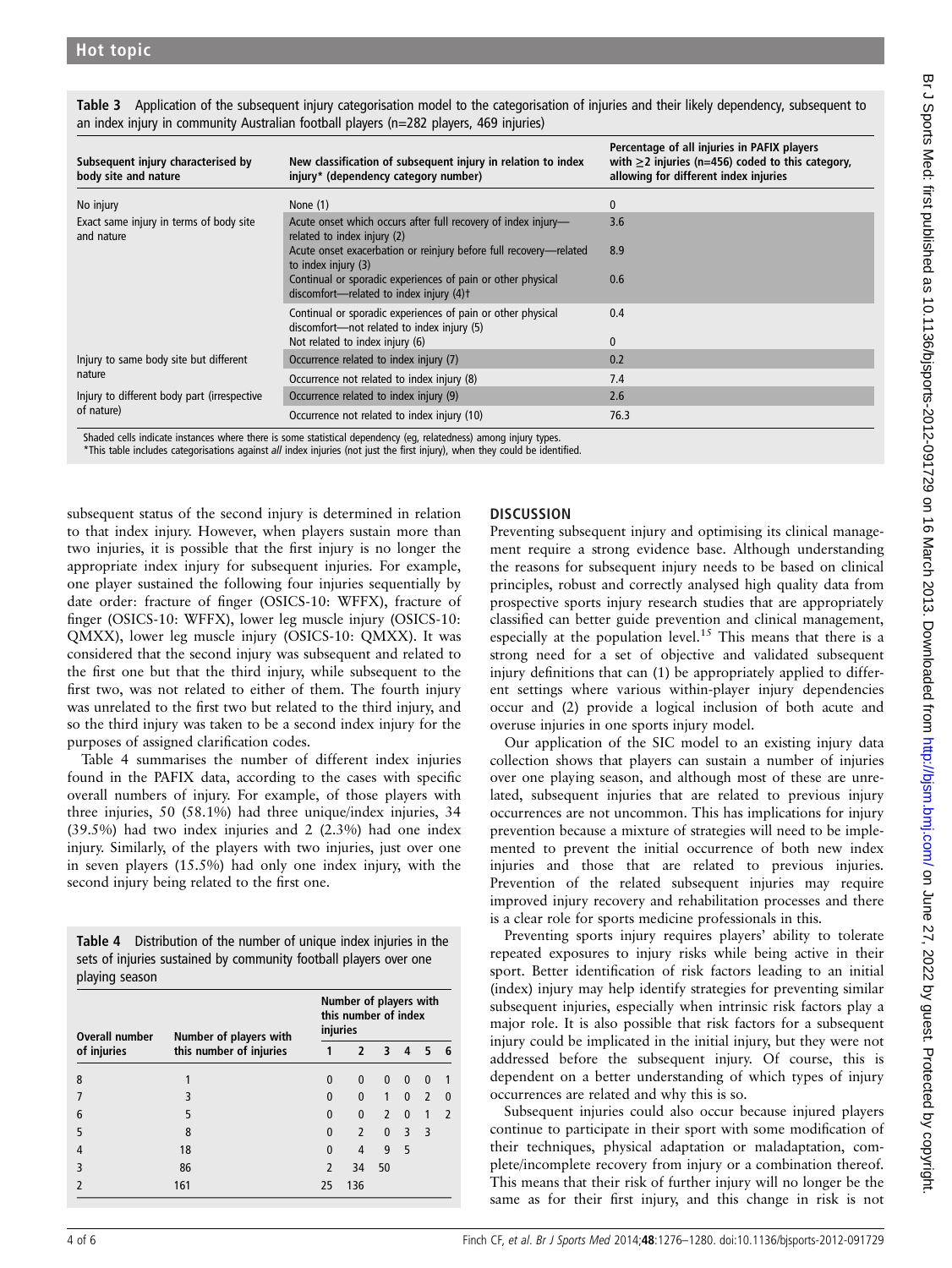Table 3 Application of the subsequent injury categorisation model to the categorisation of injuries and their likely dependency, subsequent to an index injury in community Australian football players (n=282 players, 469 injuries)

| Subsequent injury characterised by<br>body site and nature | New classification of subsequent injury in relation to index<br>injury* (dependency category number)      | Percentage of all injuries in PAFIX players<br>with $\geq$ 2 injuries (n=456) coded to this category,<br>allowing for different index injuries |
|------------------------------------------------------------|-----------------------------------------------------------------------------------------------------------|------------------------------------------------------------------------------------------------------------------------------------------------|
| No injury                                                  | None (1)                                                                                                  | $\mathbf{0}$                                                                                                                                   |
| Exact same injury in terms of body site<br>and nature      | Acute onset which occurs after full recovery of index injury-<br>related to index injury (2)              | 3.6                                                                                                                                            |
|                                                            | Acute onset exacerbation or reinjury before full recovery-related<br>to index injury (3)                  | 8.9                                                                                                                                            |
|                                                            | Continual or sporadic experiences of pain or other physical<br>discomfort-related to index injury (4)t    | 0.6                                                                                                                                            |
|                                                            | Continual or sporadic experiences of pain or other physical<br>discomfort-not related to index injury (5) | 0.4                                                                                                                                            |
|                                                            | Not related to index injury (6)                                                                           | $\mathbf{0}$                                                                                                                                   |
| Injury to same body site but different                     | Occurrence related to index injury (7)                                                                    | 0.2                                                                                                                                            |
| nature                                                     | Occurrence not related to index injury (8)                                                                | 7.4                                                                                                                                            |
| Injury to different body part (irrespective                | Occurrence related to index injury (9)                                                                    | 2.6<br>76.3                                                                                                                                    |
| of nature)                                                 | Occurrence not related to index injury (10)                                                               |                                                                                                                                                |

Shaded cells indicate instances where there is some statistical dependency (eg, relatedness) among injury types.

\*This table includes categorisations against all index injuries (not just the first injury), when they could be identified.

subsequent status of the second injury is determined in relation to that index injury. However, when players sustain more than two injuries, it is possible that the first injury is no longer the appropriate index injury for subsequent injuries. For example, one player sustained the following four injuries sequentially by date order: fracture of finger (OSICS-10: WFFX), fracture of finger (OSICS-10: WFFX), lower leg muscle injury (OSICS-10: QMXX), lower leg muscle injury (OSICS-10: QMXX). It was considered that the second injury was subsequent and related to the first one but that the third injury, while subsequent to the first two, was not related to either of them. The fourth injury was unrelated to the first two but related to the third injury, and so the third injury was taken to be a second index injury for the purposes of assigned clarification codes.

Table 4 summarises the number of different index injuries found in the PAFIX data, according to the cases with specific overall numbers of injury. For example, of those players with three injuries, 50 (58.1%) had three unique/index injuries, 34 (39.5%) had two index injuries and 2 (2.3%) had one index injury. Similarly, of the players with two injuries, just over one in seven players (15.5%) had only one index injury, with the second injury being related to the first one.

|                | <b>Table 4</b> Distribution of the number of unique index injuries in the |
|----------------|---------------------------------------------------------------------------|
|                | sets of injuries sustained by community football players over one         |
| playing season |                                                                           |

| Overall number | Number of players with  |                          | Number of players with<br>this number of index<br>injuries |                          |              |                |                |
|----------------|-------------------------|--------------------------|------------------------------------------------------------|--------------------------|--------------|----------------|----------------|
| of injuries    | this number of injuries |                          | $\overline{2}$                                             | 3                        | 4            | 5              | 6              |
| 8              |                         | 0                        | $\mathbf{0}$                                               | $\mathbf{0}$             | $\mathbf{0}$ | $\bf{0}$       | 1              |
|                | 3                       | $\Omega$                 | $\mathbf{0}$                                               | 1                        | $\mathbf{0}$ | $\overline{2}$ | 0              |
| 6              | 5                       | $\Omega$                 | $\mathbf{0}$                                               | $\overline{\phantom{0}}$ | $\Omega$     | $\mathbf{1}$   | $\overline{2}$ |
| 5              | 8                       | $\Omega$                 | $\overline{2}$                                             | $\Omega$                 | 3            | 3              |                |
|                | 18                      | $\Omega$                 | 4                                                          | 9                        | 5            |                |                |
| 3              | 86                      | $\overline{\phantom{0}}$ | 34                                                         | 50                       |              |                |                |
|                | 161                     | 25                       | 136                                                        |                          |              |                |                |

#### **DISCUSSION**

Preventing subsequent injury and optimising its clinical management require a strong evidence base. Although understanding the reasons for subsequent injury needs to be based on clinical principles, robust and correctly analysed high quality data from prospective sports injury research studies that are appropriately classified can better guide prevention and clinical management, especially at the population level.<sup>15</sup> This means that there is a strong need for a set of objective and validated subsequent injury definitions that can (1) be appropriately applied to different settings where various within-player injury dependencies occur and (2) provide a logical inclusion of both acute and overuse injuries in one sports injury model.

Our application of the SIC model to an existing injury data collection shows that players can sustain a number of injuries over one playing season, and although most of these are unrelated, subsequent injuries that are related to previous injury occurrences are not uncommon. This has implications for injury prevention because a mixture of strategies will need to be implemented to prevent the initial occurrence of both new index injuries and those that are related to previous injuries. Prevention of the related subsequent injuries may require improved injury recovery and rehabilitation processes and there is a clear role for sports medicine professionals in this.

Preventing sports injury requires players' ability to tolerate repeated exposures to injury risks while being active in their sport. Better identification of risk factors leading to an initial (index) injury may help identify strategies for preventing similar subsequent injuries, especially when intrinsic risk factors play a major role. It is also possible that risk factors for a subsequent injury could be implicated in the initial injury, but they were not addressed before the subsequent injury. Of course, this is dependent on a better understanding of which types of injury occurrences are related and why this is so.

Subsequent injuries could also occur because injured players continue to participate in their sport with some modification of their techniques, physical adaptation or maladaptation, complete/incomplete recovery from injury or a combination thereof. This means that their risk of further injury will no longer be the same as for their first injury, and this change in risk is not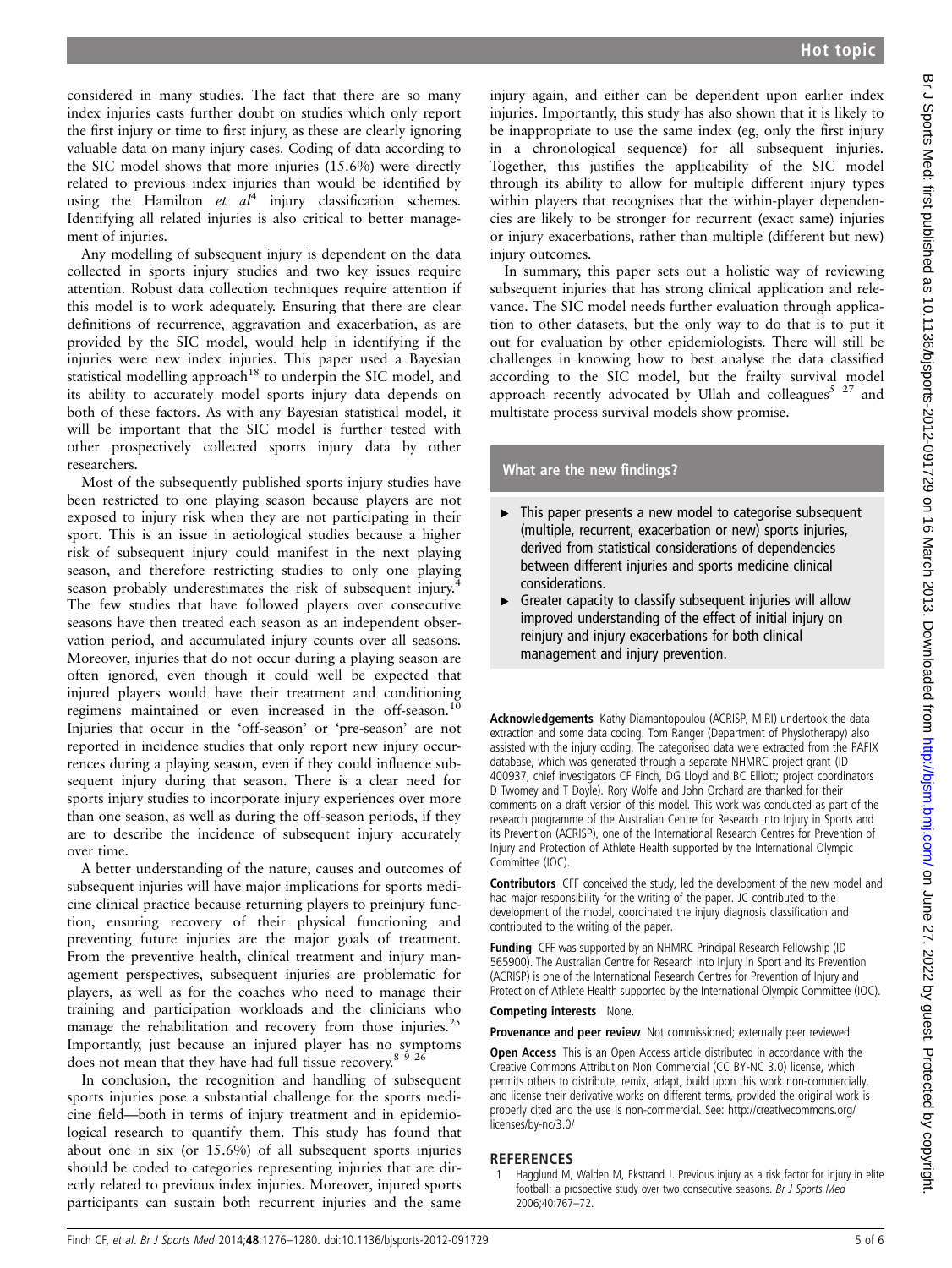considered in many studies. The fact that there are so many index injuries casts further doubt on studies which only report the first injury or time to first injury, as these are clearly ignoring valuable data on many injury cases. Coding of data according to the SIC model shows that more injuries (15.6%) were directly related to previous index injuries than would be identified by using the Hamilton et  $al<sup>4</sup>$  injury classification schemes. Identifying all related injuries is also critical to better management of injuries.

Any modelling of subsequent injury is dependent on the data collected in sports injury studies and two key issues require attention. Robust data collection techniques require attention if this model is to work adequately. Ensuring that there are clear definitions of recurrence, aggravation and exacerbation, as are provided by the SIC model, would help in identifying if the injuries were new index injuries. This paper used a Bayesian statistical modelling approach<sup>18</sup> to underpin the SIC model, and its ability to accurately model sports injury data depends on both of these factors. As with any Bayesian statistical model, it will be important that the SIC model is further tested with other prospectively collected sports injury data by other researchers.

Most of the subsequently published sports injury studies have been restricted to one playing season because players are not exposed to injury risk when they are not participating in their sport. This is an issue in aetiological studies because a higher risk of subsequent injury could manifest in the next playing season, and therefore restricting studies to only one playing season probably underestimates the risk of subsequent injury.<sup>4</sup> The few studies that have followed players over consecutive seasons have then treated each season as an independent observation period, and accumulated injury counts over all seasons. Moreover, injuries that do not occur during a playing season are often ignored, even though it could well be expected that injured players would have their treatment and conditioning regimens maintained or even increased in the off-season.<sup>1</sup> Injuries that occur in the 'off-season' or 'pre-season' are not reported in incidence studies that only report new injury occurrences during a playing season, even if they could influence subsequent injury during that season. There is a clear need for sports injury studies to incorporate injury experiences over more than one season, as well as during the off-season periods, if they are to describe the incidence of subsequent injury accurately over time.

A better understanding of the nature, causes and outcomes of subsequent injuries will have major implications for sports medicine clinical practice because returning players to preinjury function, ensuring recovery of their physical functioning and preventing future injuries are the major goals of treatment. From the preventive health, clinical treatment and injury management perspectives, subsequent injuries are problematic for players, as well as for the coaches who need to manage their training and participation workloads and the clinicians who manage the rehabilitation and recovery from those injuries.<sup>25</sup> Importantly, just because an injured player has no symptoms does not mean that they have had full tissue recovery.<sup>8 9 26</sup>

In conclusion, the recognition and handling of subsequent sports injuries pose a substantial challenge for the sports medicine field—both in terms of injury treatment and in epidemiological research to quantify them. This study has found that about one in six (or 15.6%) of all subsequent sports injuries should be coded to categories representing injuries that are directly related to previous index injuries. Moreover, injured sports participants can sustain both recurrent injuries and the same

injury again, and either can be dependent upon earlier index injuries. Importantly, this study has also shown that it is likely to be inappropriate to use the same index (eg, only the first injury in a chronological sequence) for all subsequent injuries. Together, this justifies the applicability of the SIC model through its ability to allow for multiple different injury types within players that recognises that the within-player dependencies are likely to be stronger for recurrent (exact same) injuries or injury exacerbations, rather than multiple (different but new) injury outcomes.

In summary, this paper sets out a holistic way of reviewing subsequent injuries that has strong clinical application and relevance. The SIC model needs further evaluation through application to other datasets, but the only way to do that is to put it out for evaluation by other epidemiologists. There will still be challenges in knowing how to best analyse the data classified according to the SIC model, but the frailty survival model approach recently advocated by Ullah and colleagues<sup>5 27</sup> and multistate process survival models show promise.

# What are the new findings?

- ▸ This paper presents a new model to categorise subsequent (multiple, recurrent, exacerbation or new) sports injuries, derived from statistical considerations of dependencies between different injuries and sports medicine clinical considerations.
- ▸ Greater capacity to classify subsequent injuries will allow improved understanding of the effect of initial injury on reinjury and injury exacerbations for both clinical management and injury prevention.

Acknowledgements Kathy Diamantopoulou (ACRISP, MIRI) undertook the data extraction and some data coding. Tom Ranger (Department of Physiotherapy) also assisted with the injury coding. The categorised data were extracted from the PAFIX database, which was generated through a separate NHMRC project grant (ID 400937, chief investigators CF Finch, DG Lloyd and BC Elliott; project coordinators D Twomey and T Doyle). Rory Wolfe and John Orchard are thanked for their comments on a draft version of this model. This work was conducted as part of the research programme of the Australian Centre for Research into Injury in Sports and its Prevention (ACRISP), one of the International Research Centres for Prevention of Injury and Protection of Athlete Health supported by the International Olympic Committee (IOC).

Contributors CFF conceived the study, led the development of the new model and had major responsibility for the writing of the paper. JC contributed to the development of the model, coordinated the injury diagnosis classification and contributed to the writing of the paper.

Funding CFF was supported by an NHMRC Principal Research Fellowship (ID 565900). The Australian Centre for Research into Injury in Sport and its Prevention (ACRISP) is one of the International Research Centres for Prevention of Injury and Protection of Athlete Health supported by the International Olympic Committee (IOC).

#### Competing interests None.

Provenance and peer review Not commissioned; externally peer reviewed.

Open Access This is an Open Access article distributed in accordance with the Creative Commons Attribution Non Commercial (CC BY-NC 3.0) license, which permits others to distribute, remix, adapt, build upon this work non-commercially, and license their derivative works on different terms, provided the original work is properly cited and the use is non-commercial. See: http://creativecommons.org/ licenses/by-nc/3.0/

## **REFERENCES**

Hagglund M, Walden M, Ekstrand J. Previous injury as a risk factor for injury in elite football: a prospective study over two consecutive seasons. Br J Sports Med 2006;40:767–72.